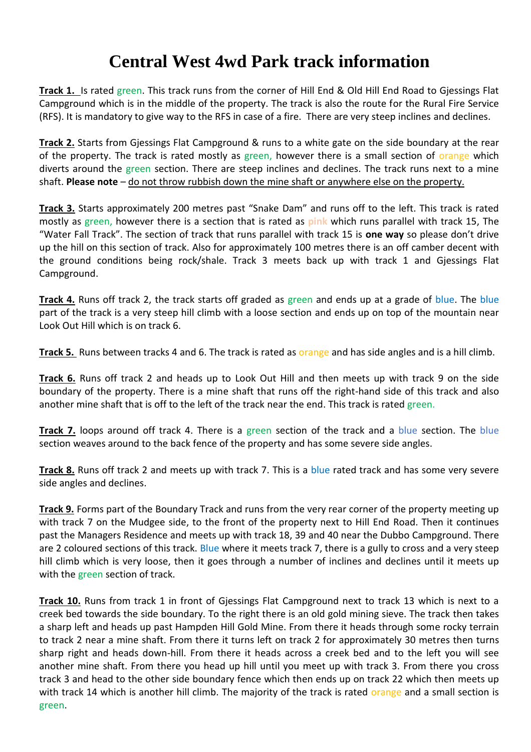## **Central West 4wd Park track information**

**Track 1.** Is rated green. This track runs from the corner of Hill End & Old Hill End Road to Gjessings Flat Campground which is in the middle of the property. The track is also the route for the Rural Fire Service (RFS). It is mandatory to give way to the RFS in case of a fire. There are very steep inclines and declines.

**Track 2.** Starts from Gjessings Flat Campground & runs to a white gate on the side boundary at the rear of the property. The track is rated mostly as green, however there is a small section of orange which diverts around the green section. There are steep inclines and declines. The track runs next to a mine shaft. **Please note** – do not throw rubbish down the mine shaft or anywhere else on the property.

**Track 3.** Starts approximately 200 metres past "Snake Dam" and runs off to the left. This track is rated mostly as green, however there is a section that is rated as **pink** which runs parallel with track 15, The "Water Fall Track". The section of track that runs parallel with track 15 is **one way** so please don't drive up the hill on this section of track. Also for approximately 100 metres there is an off camber decent with the ground conditions being rock/shale. Track 3 meets back up with track 1 and Gjessings Flat Campground.

**Track 4.** Runs off track 2, the track starts off graded as green and ends up at a grade of blue. The blue part of the track is a very steep hill climb with a loose section and ends up on top of the mountain near Look Out Hill which is on track 6.

**Track 5.** Runs between tracks 4 and 6. The track is rated as orange and has side angles and is a hill climb.

**Track 6.** Runs off track 2 and heads up to Look Out Hill and then meets up with track 9 on the side boundary of the property. There is a mine shaft that runs off the right-hand side of this track and also another mine shaft that is off to the left of the track near the end. This track is rated green.

**Track 7.** loops around off track 4. There is a green section of the track and a blue section. The blue section weaves around to the back fence of the property and has some severe side angles.

**Track 8.** Runs off track 2 and meets up with track 7. This is a blue rated track and has some very severe side angles and declines.

**Track 9.** Forms part of the Boundary Track and runs from the very rear corner of the property meeting up with track 7 on the Mudgee side, to the front of the property next to Hill End Road. Then it continues past the Managers Residence and meets up with track 18, 39 and 40 near the Dubbo Campground. There are 2 coloured sections of this track. Blue where it meets track 7, there is a gully to cross and a very steep hill climb which is very loose, then it goes through a number of inclines and declines until it meets up with the green section of track.

**Track 10.** Runs from track 1 in front of Gjessings Flat Campground next to track 13 which is next to a creek bed towards the side boundary. To the right there is an old gold mining sieve. The track then takes a sharp left and heads up past Hampden Hill Gold Mine. From there it heads through some rocky terrain to track 2 near a mine shaft. From there it turns left on track 2 for approximately 30 metres then turns sharp right and heads down-hill. From there it heads across a creek bed and to the left you will see another mine shaft. From there you head up hill until you meet up with track 3. From there you cross track 3 and head to the other side boundary fence which then ends up on track 22 which then meets up with track 14 which is another hill climb. The majority of the track is rated orange and a small section is green.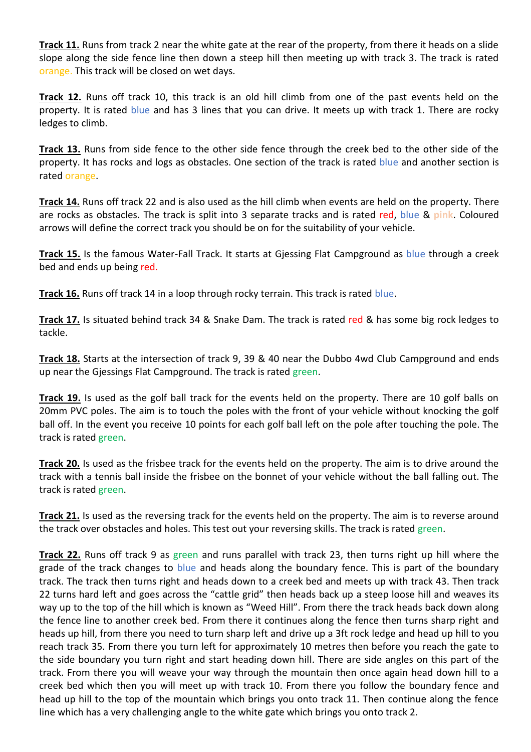**Track 11.** Runs from track 2 near the white gate at the rear of the property, from there it heads on a slide slope along the side fence line then down a steep hill then meeting up with track 3. The track is rated orange. This track will be closed on wet days.

**Track 12.** Runs off track 10, this track is an old hill climb from one of the past events held on the property. It is rated blue and has 3 lines that you can drive. It meets up with track 1. There are rocky ledges to climb.

**Track 13.** Runs from side fence to the other side fence through the creek bed to the other side of the property. It has rocks and logs as obstacles. One section of the track is rated blue and another section is rated orange.

**Track 14.** Runs off track 22 and is also used as the hill climb when events are held on the property. There are rocks as obstacles. The track is split into 3 separate tracks and is rated red, blue & **pink**. Coloured arrows will define the correct track you should be on for the suitability of your vehicle.

**Track 15.** Is the famous Water-Fall Track. It starts at Gjessing Flat Campground as blue through a creek bed and ends up being red.

**Track 16.** Runs off track 14 in a loop through rocky terrain. This track is rated blue.

**Track 17.** Is situated behind track 34 & Snake Dam. The track is rated red & has some big rock ledges to tackle.

**Track 18.** Starts at the intersection of track 9, 39 & 40 near the Dubbo 4wd Club Campground and ends up near the Gjessings Flat Campground. The track is rated green.

**Track 19.** Is used as the golf ball track for the events held on the property. There are 10 golf balls on 20mm PVC poles. The aim is to touch the poles with the front of your vehicle without knocking the golf ball off. In the event you receive 10 points for each golf ball left on the pole after touching the pole. The track is rated green.

**Track 20.** Is used as the frisbee track for the events held on the property. The aim is to drive around the track with a tennis ball inside the frisbee on the bonnet of your vehicle without the ball falling out. The track is rated green.

**Track 21.** Is used as the reversing track for the events held on the property. The aim is to reverse around the track over obstacles and holes. This test out your reversing skills. The track is rated green.

**Track 22.** Runs off track 9 as green and runs parallel with track 23, then turns right up hill where the grade of the track changes to blue and heads along the boundary fence. This is part of the boundary track. The track then turns right and heads down to a creek bed and meets up with track 43. Then track 22 turns hard left and goes across the "cattle grid" then heads back up a steep loose hill and weaves its way up to the top of the hill which is known as "Weed Hill". From there the track heads back down along the fence line to another creek bed. From there it continues along the fence then turns sharp right and heads up hill, from there you need to turn sharp left and drive up a 3ft rock ledge and head up hill to you reach track 35. From there you turn left for approximately 10 metres then before you reach the gate to the side boundary you turn right and start heading down hill. There are side angles on this part of the track. From there you will weave your way through the mountain then once again head down hill to a creek bed which then you will meet up with track 10. From there you follow the boundary fence and head up hill to the top of the mountain which brings you onto track 11. Then continue along the fence line which has a very challenging angle to the white gate which brings you onto track 2.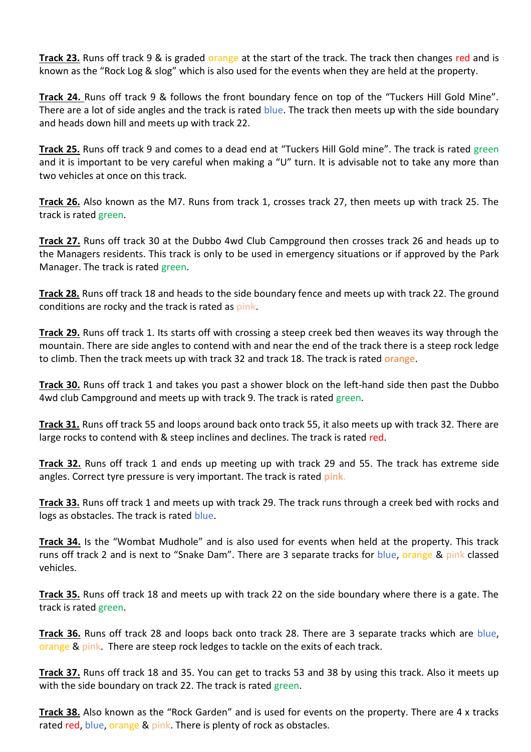**Track 23.** Runs off track 9 & is graded orange at the start of the track. The track then changes red and is known as the "Rock Log & slog" which is also used for the events when they are held at the property.

**Track 24.** Runs off track 9 & follows the front boundary fence on top of the "Tuckers Hill Gold Mine". There are a lot of side angles and the track is rated blue. The track then meets up with the side boundary and heads down hill and meets up with track 22.

**Track 25.** Runs off track 9 and comes to a dead end at "Tuckers Hill Gold mine". The track is rated green and it is important to be very careful when making a "U" turn. It is advisable not to take any more than two vehicles at once on this track.

**Track 26.** Also known as the M7. Runs from track 1, crosses track 27, then meets up with track 25. The track is rated green.

**Track 27.** Runs off track 30 at the Dubbo 4wd Club Campground then crosses track 26 and heads up to the Managers residents. This track is only to be used in emergency situations or if approved by the Park Manager. The track is rated green.

**Track 28.** Runs off track 18 and heads to the side boundary fence and meets up with track 22. The ground conditions are rocky and the track is rated as **pink**.

**Track 29.** Runs off track 1. Its starts off with crossing a steep creek bed then weaves its way through the mountain. There are side angles to contend with and near the end of the track there is a steep rock ledge to climb. Then the track meets up with track 32 and track 18. The track is rated orange.

**Track 30.** Runs off track 1 and takes you past a shower block on the left-hand side then past the Dubbo 4wd club Campground and meets up with track 9. The track is rated green.

**Track 31.** Runs off track 55 and loops around back onto track 55, it also meets up with track 32. There are large rocks to contend with & steep inclines and declines. The track is rated red.

**Track 32.** Runs off track 1 and ends up meeting up with track 29 and 55. The track has extreme side angles. Correct tyre pressure is very important. The track is rated **pink**.

**Track 33.** Runs off track 1 and meets up with track 29. The track runs through a creek bed with rocks and logs as obstacles. The track is rated blue.

**Track 34.** Is the "Wombat Mudhole" and is also used for events when held at the property. This track runs off track 2 and is next to "Snake Dam". There are 3 separate tracks for blue, orange & pink classed vehicles.

**Track 35.** Runs off track 18 and meets up with track 22 on the side boundary where there is a gate. The track is rated green.

**Track 36.** Runs off track 28 and loops back onto track 28. There are 3 separate tracks which are blue, orange & pink. There are steep rock ledges to tackle on the exits of each track.

**Track 37.** Runs off track 18 and 35. You can get to tracks 53 and 38 by using this track. Also it meets up with the side boundary on track 22. The track is rated green.

**Track 38.** Also known as the "Rock Garden" and is used for events on the property. There are 4 x tracks rated red, blue, orange & pink. There is plenty of rock as obstacles.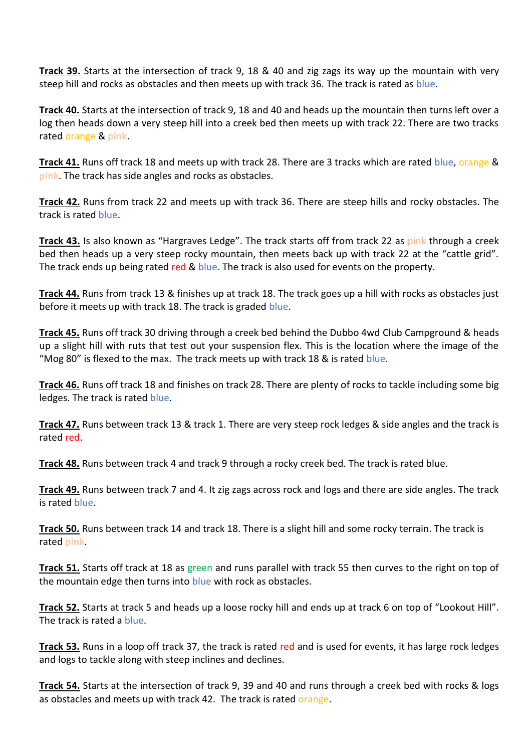**Track 39.** Starts at the intersection of track 9, 18 & 40 and zig zags its way up the mountain with very steep hill and rocks as obstacles and then meets up with track 36. The track is rated as blue.

**Track 40.** Starts at the intersection of track 9, 18 and 40 and heads up the mountain then turns left over a log then heads down a very steep hill into a creek bed then meets up with track 22. There are two tracks rated orange & **pink**.

**Track 41.** Runs off track 18 and meets up with track 28. There are 3 tracks which are rated blue, orange & **pink**. The track has side angles and rocks as obstacles.

**Track 42.** Runs from track 22 and meets up with track 36. There are steep hills and rocky obstacles. The track is rated blue.

**Track 43.** Is also known as "Hargraves Ledge". The track starts off from track 22 as pink through a creek bed then heads up a very steep rocky mountain, then meets back up with track 22 at the "cattle grid". The track ends up being rated red & blue. The track is also used for events on the property.

**Track 44.** Runs from track 13 & finishes up at track 18. The track goes up a hill with rocks as obstacles just before it meets up with track 18. The track is graded blue.

**Track 45.** Runs off track 30 driving through a creek bed behind the Dubbo 4wd Club Campground & heads up a slight hill with ruts that test out your suspension flex. This is the location where the image of the "Mog 80" is flexed to the max. The track meets up with track 18 & is rated blue.

**Track 46.** Runs off track 18 and finishes on track 28. There are plenty of rocks to tackle including some big ledges. The track is rated blue.

**Track 47.** Runs between track 13 & track 1. There are very steep rock ledges & side angles and the track is rated red.

**Track 48.** Runs between track 4 and track 9 through a rocky creek bed. The track is rated blue.

**Track 49.** Runs between track 7 and 4. It zig zags across rock and logs and there are side angles. The track is rated blue.

**Track 50.** Runs between track 14 and track 18. There is a slight hill and some rocky terrain. The track is rated **pink**.

**Track 51.** Starts off track at 18 as green and runs parallel with track 55 then curves to the right on top of the mountain edge then turns into blue with rock as obstacles.

**Track 52.** Starts at track 5 and heads up a loose rocky hill and ends up at track 6 on top of "Lookout Hill". The track is rated a blue.

**Track 53.** Runs in a loop off track 37, the track is rated red and is used for events, it has large rock ledges and logs to tackle along with steep inclines and declines.

**Track 54.** Starts at the intersection of track 9, 39 and 40 and runs through a creek bed with rocks & logs as obstacles and meets up with track 42. The track is rated orange.